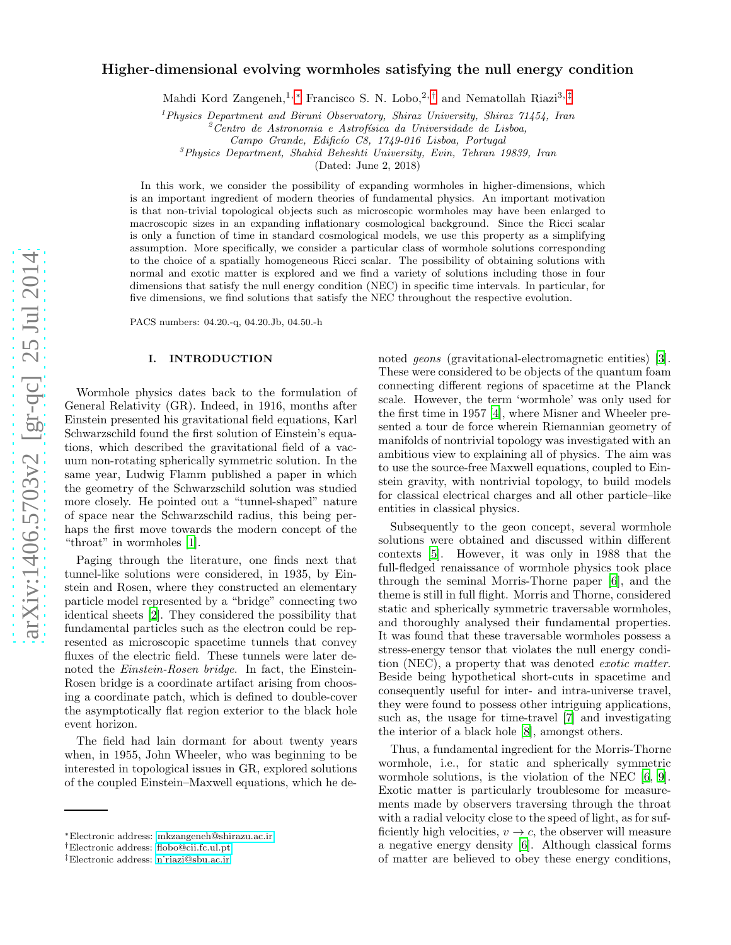# Higher-dimensional evolving wormholes satisfying the null energy condition

Mahdi Kord Zangeneh,<sup>1,\*</sup> Francisco S. N. Lobo,<sup>2,[†](#page-0-1)</sup> and Nematollah Riazi<sup>3,[‡](#page-0-2)</sup>

<sup>1</sup>Physics Department and Biruni Observatory, Shiraz University, Shiraz 71454, Iran  ${}^{2}$ Centro de Astronomia e Astrofísica da Universidade de Lisboa,

Campo Grande, Edificío C8, 1749-016 Lisboa, Portugal

 $3$ Physics Department, Shahid Beheshti University, Evin, Tehran 19839, Iran

(Dated: June 2, 2018)

In this work, we consider the possibility of expanding wormholes in higher-dimensions, which is an important ingredient of modern theories of fundamental physics. An important motivation is that non-trivial topological objects such as microscopic wormholes may have been enlarged to macroscopic sizes in an expanding inflationary cosmological background. Since the Ricci scalar is only a function of time in standard cosmological models, we use this property as a simplifying assumption. More specifically, we consider a particular class of wormhole solutions corresponding to the choice of a spatially homogeneous Ricci scalar. The possibility of obtaining solutions with normal and exotic matter is explored and we find a variety of solutions including those in four dimensions that satisfy the null energy condition (NEC) in specific time intervals. In particular, for five dimensions, we find solutions that satisfy the NEC throughout the respective evolution.

PACS numbers: 04.20.-q, 04.20.Jb, 04.50.-h

## I. INTRODUCTION

Wormhole physics dates back to the formulation of General Relativity (GR). Indeed, in 1916, months after Einstein presented his gravitational field equations, Karl Schwarzschild found the first solution of Einstein's equations, which described the gravitational field of a vacuum non-rotating spherically symmetric solution. In the same year, Ludwig Flamm published a paper in which the geometry of the Schwarzschild solution was studied more closely. He pointed out a "tunnel-shaped" nature of space near the Schwarzschild radius, this being perhaps the first move towards the modern concept of the "throat" in wormholes [\[1\]](#page-7-0).

Paging through the literature, one finds next that tunnel-like solutions were considered, in 1935, by Einstein and Rosen, where they constructed an elementary particle model represented by a "bridge" connecting two identical sheets [\[2\]](#page-7-1). They considered the possibility that fundamental particles such as the electron could be represented as microscopic spacetime tunnels that convey fluxes of the electric field. These tunnels were later denoted the Einstein-Rosen bridge. In fact, the Einstein-Rosen bridge is a coordinate artifact arising from choosing a coordinate patch, which is defined to double-cover the asymptotically flat region exterior to the black hole event horizon.

The field had lain dormant for about twenty years when, in 1955, John Wheeler, who was beginning to be interested in topological issues in GR, explored solutions of the coupled Einstein–Maxwell equations, which he de-

noted *geons* (gravitational-electromagnetic entities) [\[3\]](#page-7-2). These were considered to be objects of the quantum foam connecting different regions of spacetime at the Planck scale. However, the term 'wormhole' was only used for the first time in 1957 [\[4\]](#page-7-3), where Misner and Wheeler presented a tour de force wherein Riemannian geometry of manifolds of nontrivial topology was investigated with an ambitious view to explaining all of physics. The aim was to use the source-free Maxwell equations, coupled to Einstein gravity, with nontrivial topology, to build models for classical electrical charges and all other particle–like entities in classical physics.

Subsequently to the geon concept, several wormhole solutions were obtained and discussed within different contexts [\[5](#page-7-4)]. However, it was only in 1988 that the full-fledged renaissance of wormhole physics took place through the seminal Morris-Thorne paper [\[6](#page-7-5)], and the theme is still in full flight. Morris and Thorne, considered static and spherically symmetric traversable wormholes, and thoroughly analysed their fundamental properties. It was found that these traversable wormholes possess a stress-energy tensor that violates the null energy condition (NEC), a property that was denoted exotic matter. Beside being hypothetical short-cuts in spacetime and consequently useful for inter- and intra-universe travel, they were found to possess other intriguing applications, such as, the usage for time-travel [\[7](#page-7-6)] and investigating the interior of a black hole [\[8\]](#page-7-7), amongst others.

Thus, a fundamental ingredient for the Morris-Thorne wormhole, i.e., for static and spherically symmetric wormhole solutions, is the violation of the NEC [\[6,](#page-7-5) [9\]](#page-7-8). Exotic matter is particularly troublesome for measurements made by observers traversing through the throat with a radial velocity close to the speed of light, as for sufficiently high velocities,  $v \to c$ , the observer will measure a negative energy density [\[6\]](#page-7-5). Although classical forms of matter are believed to obey these energy conditions,

<span id="page-0-0"></span><sup>∗</sup>Electronic address: [mkzangeneh@shirazu.ac.ir](mailto:mkzangeneh@shirazu.ac.ir)

<span id="page-0-1"></span><sup>†</sup>Electronic address: [flobo@cii.fc.ul.pt](mailto:flobo@cii.fc.ul.pt)

<span id="page-0-2"></span><sup>‡</sup>Electronic address: [n˙riazi@sbu.ac.ir](mailto:n_riazi@sbu.ac.ir)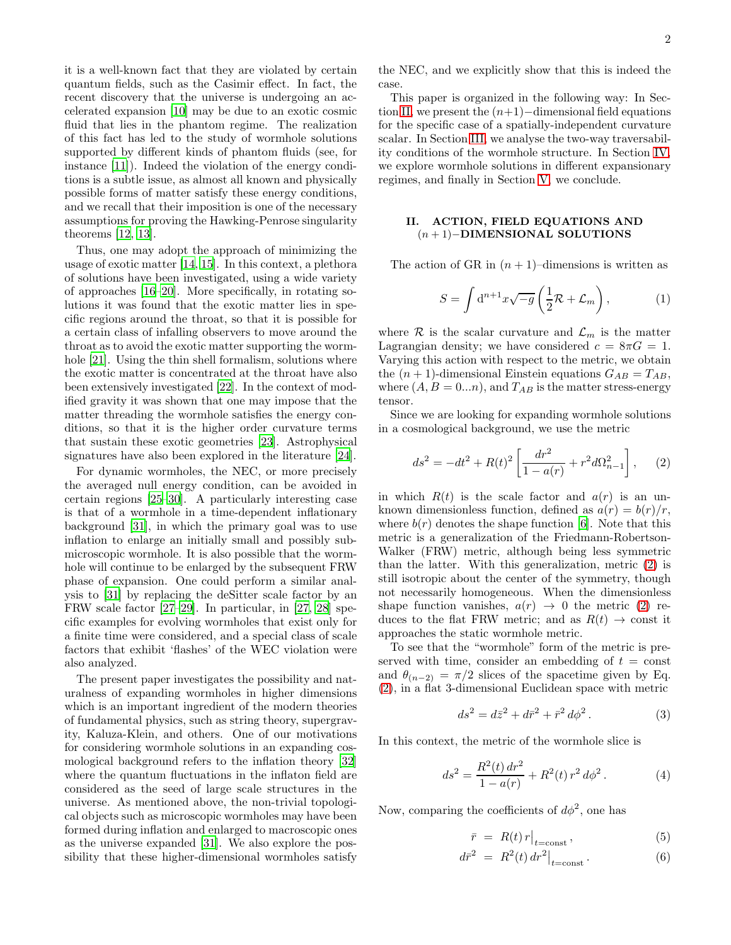it is a well-known fact that they are violated by certain quantum fields, such as the Casimir effect. In fact, the recent discovery that the universe is undergoing an accelerated expansion [\[10](#page-7-9)] may be due to an exotic cosmic fluid that lies in the phantom regime. The realization of this fact has led to the study of wormhole solutions supported by different kinds of phantom fluids (see, for instance [\[11\]](#page-7-10)). Indeed the violation of the energy conditions is a subtle issue, as almost all known and physically possible forms of matter satisfy these energy conditions, and we recall that their imposition is one of the necessary assumptions for proving the Hawking-Penrose singularity theorems [\[12,](#page-7-11) [13\]](#page-7-12).

Thus, one may adopt the approach of minimizing the usage of exotic matter [\[14](#page-7-13), [15\]](#page-7-14). In this context, a plethora of solutions have been investigated, using a wide variety of approaches [\[16](#page-7-15)[–20](#page-7-16)]. More specifically, in rotating solutions it was found that the exotic matter lies in specific regions around the throat, so that it is possible for a certain class of infalling observers to move around the throat as to avoid the exotic matter supporting the worm-hole [\[21](#page-7-17)]. Using the thin shell formalism, solutions where the exotic matter is concentrated at the throat have also been extensively investigated [\[22\]](#page-7-18). In the context of modified gravity it was shown that one may impose that the matter threading the wormhole satisfies the energy conditions, so that it is the higher order curvature terms that sustain these exotic geometries [\[23\]](#page-7-19). Astrophysical signatures have also been explored in the literature [\[24](#page-8-0)].

For dynamic wormholes, the NEC, or more precisely the averaged null energy condition, can be avoided in certain regions [\[25](#page-8-1)[–30\]](#page-8-2). A particularly interesting case is that of a wormhole in a time-dependent inflationary background [\[31](#page-8-3)], in which the primary goal was to use inflation to enlarge an initially small and possibly submicroscopic wormhole. It is also possible that the wormhole will continue to be enlarged by the subsequent FRW phase of expansion. One could perform a similar analysis to [\[31\]](#page-8-3) by replacing the deSitter scale factor by an FRW scale factor [\[27](#page-8-4)[–29\]](#page-8-5). In particular, in [\[27,](#page-8-4) [28](#page-8-6)] specific examples for evolving wormholes that exist only for a finite time were considered, and a special class of scale factors that exhibit 'flashes' of the WEC violation were also analyzed.

The present paper investigates the possibility and naturalness of expanding wormholes in higher dimensions which is an important ingredient of the modern theories of fundamental physics, such as string theory, supergravity, Kaluza-Klein, and others. One of our motivations for considering wormhole solutions in an expanding cosmological background refers to the inflation theory [\[32](#page-8-7)] where the quantum fluctuations in the inflaton field are considered as the seed of large scale structures in the universe. As mentioned above, the non-trivial topological objects such as microscopic wormholes may have been formed during inflation and enlarged to macroscopic ones as the universe expanded [\[31\]](#page-8-3). We also explore the possibility that these higher-dimensional wormholes satisfy

the NEC, and we explicitly show that this is indeed the case.

This paper is organized in the following way: In Sec-tion [II,](#page-1-0) we present the  $(n+1)$ −dimensional field equations for the specific case of a spatially-independent curvature scalar. In Section [III,](#page-3-0) we analyse the two-way traversability conditions of the wormhole structure. In Section [IV,](#page-4-0) we explore wormhole solutions in different expansionary regimes, and finally in Section [V,](#page-6-0) we conclude.

## <span id="page-1-0"></span>II. ACTION, FIELD EQUATIONS AND (n + 1)−DIMENSIONAL SOLUTIONS

The action of GR in  $(n + 1)$ –dimensions is written as

$$
S = \int d^{n+1}x \sqrt{-g} \left(\frac{1}{2}\mathcal{R} + \mathcal{L}_m\right),\tag{1}
$$

where  $R$  is the scalar curvature and  $\mathcal{L}_m$  is the matter Lagrangian density; we have considered  $c = 8\pi G = 1$ . Varying this action with respect to the metric, we obtain the  $(n + 1)$ -dimensional Einstein equations  $G_{AB} = T_{AB}$ , where  $(A, B = 0...n)$ , and  $T_{AB}$  is the matter stress-energy tensor.

Since we are looking for expanding wormhole solutions in a cosmological background, we use the metric

<span id="page-1-1"></span>
$$
ds^{2} = -dt^{2} + R(t)^{2} \left[ \frac{dr^{2}}{1 - a(r)} + r^{2} d\Omega_{n-1}^{2} \right], \quad (2)
$$

in which  $R(t)$  is the scale factor and  $a(r)$  is an unknown dimensionless function, defined as  $a(r) = b(r)/r$ , where  $b(r)$  denotes the shape function [\[6](#page-7-5)]. Note that this metric is a generalization of the Friedmann-Robertson-Walker (FRW) metric, although being less symmetric than the latter. With this generalization, metric [\(2\)](#page-1-1) is still isotropic about the center of the symmetry, though not necessarily homogeneous. When the dimensionless shape function vanishes,  $a(r) \rightarrow 0$  the metric [\(2\)](#page-1-1) reduces to the flat FRW metric; and as  $R(t) \rightarrow$  const it approaches the static wormhole metric.

To see that the "wormhole" form of the metric is preserved with time, consider an embedding of  $t = \text{const}$ and  $\theta_{(n-2)} = \pi/2$  slices of the spacetime given by Eq. [\(2\)](#page-1-1), in a flat 3-dimensional Euclidean space with metric

<span id="page-1-4"></span>
$$
ds^2 = d\bar{z}^2 + d\bar{r}^2 + \bar{r}^2 d\phi^2.
$$
 (3)

In this context, the metric of the wormhole slice is

<span id="page-1-3"></span>
$$
ds^{2} = \frac{R^{2}(t) dr^{2}}{1 - a(r)} + R^{2}(t) r^{2} d\phi^{2}. \qquad (4)
$$

Now, comparing the coefficients of  $d\phi^2$ , one has

<span id="page-1-2"></span>
$$
\bar{r} = R(t) r \big|_{t = \text{const}} , \qquad (5)
$$

$$
d\bar{r}^2 = R^2(t) dr^2 \big|_{t=\text{const}}.
$$
 (6)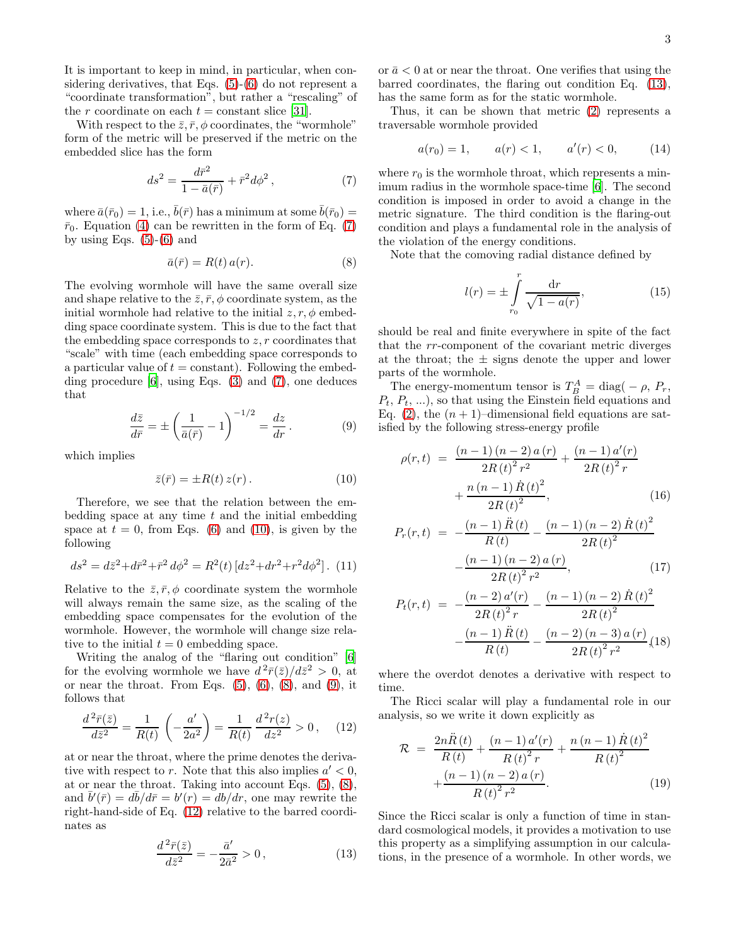It is important to keep in mind, in particular, when considering derivatives, that Eqs. [\(5\)](#page-1-2)-[\(6\)](#page-1-2) do not represent a "coordinate transformation", but rather a "rescaling" of the r coordinate on each  $t =$  constant slice [\[31\]](#page-8-3).

With respect to the  $\bar{z}, \bar{r}, \phi$  coordinates, the "wormhole" form of the metric will be preserved if the metric on the embedded slice has the form

<span id="page-2-0"></span>
$$
ds^{2} = \frac{d\bar{r}^{2}}{1 - \bar{a}(\bar{r})} + \bar{r}^{2}d\phi^{2},
$$
\n(7)

where  $\bar{a}(\bar{r}_0) = 1$ , i.e.,  $\bar{b}(\bar{r})$  has a minimum at some  $\bar{b}(\bar{r}_0) =$  $\bar{r}_0$ . Equation [\(4\)](#page-1-3) can be rewritten in the form of Eq. [\(7\)](#page-2-0) by using Eqs.  $(5)-(6)$  $(5)-(6)$  and

<span id="page-2-2"></span>
$$
\bar{a}(\bar{r}) = R(t) a(r). \tag{8}
$$

The evolving wormhole will have the same overall size and shape relative to the  $\bar{z}, \bar{r}, \phi$  coordinate system, as the initial wormhole had relative to the initial  $z, r, \phi$  embedding space coordinate system. This is due to the fact that the embedding space corresponds to  $z, r$  coordinates that "scale" with time (each embedding space corresponds to a particular value of  $t = constant$ . Following the embedding procedure  $[6]$ , using Eqs.  $(3)$  and  $(7)$ , one deduces that

<span id="page-2-3"></span>
$$
\frac{d\bar{z}}{d\bar{r}} = \pm \left(\frac{1}{\bar{a}(\bar{r})} - 1\right)^{-1/2} = \frac{dz}{dr}.
$$
 (9)

which implies

<span id="page-2-1"></span>
$$
\bar{z}(\bar{r}) = \pm R(t) z(r). \qquad (10)
$$

Therefore, we see that the relation between the embedding space at any time  $t$  and the initial embedding space at  $t = 0$ , from Eqs. [\(6\)](#page-1-2) and [\(10\)](#page-2-1), is given by the following

$$
ds^{2} = d\bar{z}^{2} + d\bar{r}^{2} + \bar{r}^{2} d\phi^{2} = R^{2}(t) [dz^{2} + dr^{2} + r^{2} d\phi^{2}]. (11)
$$

Relative to the  $\bar{z}, \bar{r}, \phi$  coordinate system the wormhole will always remain the same size, as the scaling of the embedding space compensates for the evolution of the wormhole. However, the wormhole will change size relative to the initial  $t = 0$  embedding space.

Writing the analog of the "flaring out condition" [\[6](#page-7-5)] for the evolving wormhole we have  $d^2\bar{r}(\bar{z})/d\bar{z}^2 > 0$ , at or near the throat. From Eqs.  $(5)$ ,  $(6)$ ,  $(8)$ , and  $(9)$ , it follows that

<span id="page-2-4"></span>
$$
\frac{d^2\bar{r}(\bar{z})}{d\bar{z}^2} = \frac{1}{R(t)} \left( -\frac{a'}{2a^2} \right) = \frac{1}{R(t)} \frac{d^2r(z)}{dz^2} > 0, \quad (12)
$$

at or near the throat, where the prime denotes the derivative with respect to r. Note that this also implies  $a' < 0$ , at or near the throat. Taking into account Eqs. [\(5\)](#page-1-2), [\(8\)](#page-2-2), and  $\bar{b}'(\bar{r}) = d\bar{b}/d\bar{r} = b'(r) = db/dr$ , one may rewrite the right-hand-side of Eq. [\(12\)](#page-2-4) relative to the barred coordinates as

<span id="page-2-5"></span>
$$
\frac{d^2\bar{r}(\bar{z})}{d\bar{z}^2} = -\frac{\bar{a}'}{2\bar{a}^2} > 0, \qquad (13)
$$

or  $\bar{a}$  < 0 at or near the throat. One verifies that using the barred coordinates, the flaring out condition Eq. [\(13\)](#page-2-5), has the same form as for the static wormhole.

Thus, it can be shown that metric [\(2\)](#page-1-1) represents a traversable wormhole provided

<span id="page-2-6"></span>
$$
a(r_0) = 1, \qquad a(r) < 1, \qquad a'(r) < 0,\tag{14}
$$

where  $r_0$  is the wormhole throat, which represents a minimum radius in the wormhole space-time [\[6](#page-7-5)]. The second condition is imposed in order to avoid a change in the metric signature. The third condition is the flaring-out condition and plays a fundamental role in the analysis of the violation of the energy conditions.

Note that the comoving radial distance defined by

<span id="page-2-7"></span>
$$
l(r) = \pm \int_{r_0}^{r} \frac{dr}{\sqrt{1 - a(r)}},
$$
\n(15)

should be real and finite everywhere in spite of the fact that the rr-component of the covariant metric diverges at the throat; the  $\pm$  signs denote the upper and lower parts of the wormhole.

The energy-momentum tensor is  $T_B^A = \text{diag}(-\rho, P_r)$  $P_t, P_t, \ldots$ , so that using the Einstein field equations and Eq. [\(2\)](#page-1-1), the  $(n + 1)$ –dimensional field equations are satisfied by the following stress-energy profile

$$
\rho(r,t) = \frac{(n-1)(n-2) a(r)}{2R(t)^{2} r^{2}} + \frac{(n-1) a'(r)}{2R(t)^{2} r} + \frac{n (n-1) \dot{R}(t)^{2}}{2R(t)^{2}},
$$
\n(16)

$$
P_r(r,t) = -\frac{(n-1)\ddot{R}(t)}{R(t)} - \frac{(n-1)(n-2)\dot{R}(t)^2}{2R(t)^2} - \frac{(n-1)(n-2)a(r)}{2R(t)^2 r^2},
$$
(17)

$$
P_t(r,t) = -\frac{(n-2) a'(r)}{2R(t)^2 r} - \frac{(n-1) (n-2) \dot{R}(t)^2}{2R(t)^2} - \frac{(n-1) \ddot{R}(t)}{R(t)} - \frac{(n-2) (n-3) a (r)}{2R(t)^2 r^2} (18)
$$

where the overdot denotes a derivative with respect to time.

The Ricci scalar will play a fundamental role in our analysis, so we write it down explicitly as

$$
\mathcal{R} = \frac{2n\ddot{R}(t)}{R(t)} + \frac{(n-1)a'(r)}{R(t)^2 r} + \frac{n(n-1)\dot{R}(t)^2}{R(t)^2} + \frac{(n-1)(n-2)a(r)}{R(t)^2 r^2}.
$$
\n(19)

Since the Ricci scalar is only a function of time in standard cosmological models, it provides a motivation to use this property as a simplifying assumption in our calculations, in the presence of a wormhole. In other words, we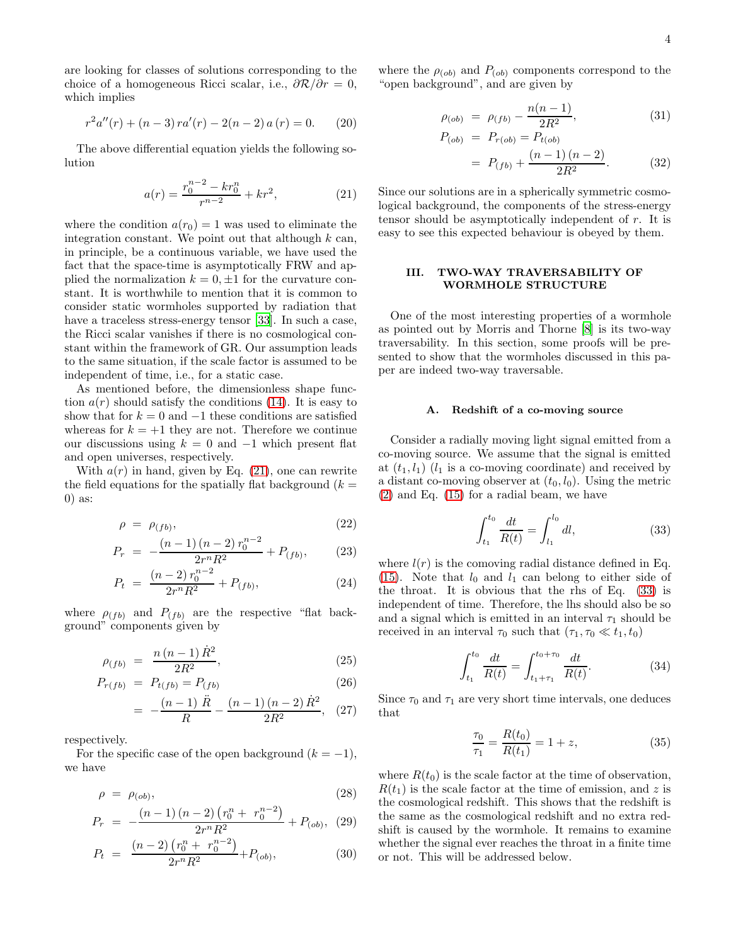are looking for classes of solutions corresponding to the choice of a homogeneous Ricci scalar, i.e.,  $\partial \mathcal{R}/\partial r = 0$ , which implies

$$
r^{2}a''(r) + (n-3)ra'(r) - 2(n-2)a(r) = 0.
$$
 (20)

The above differential equation yields the following solution

<span id="page-3-1"></span>
$$
a(r) = \frac{r_0^{n-2} - kr_0^n}{r^{n-2}} + kr^2,
$$
 (21)

where the condition  $a(r_0) = 1$  was used to eliminate the integration constant. We point out that although  $k$  can, in principle, be a continuous variable, we have used the fact that the space-time is asymptotically FRW and applied the normalization  $k = 0, \pm 1$  for the curvature constant. It is worthwhile to mention that it is common to consider static wormholes supported by radiation that have a traceless stress-energy tensor [33]. In such a case, the Ricci scalar vanishes if there is no cosmological constant within the framework of GR. Our assumption leads to the same situation, if the scale factor is assumed to be independent of time, i.e., for a static case.

As mentioned before, the dimensionless shape function  $a(r)$  should satisfy the conditions [\(14\)](#page-2-6). It is easy to show that for  $k = 0$  and  $-1$  these conditions are satisfied whereas for  $k = +1$  they are not. Therefore we continue our discussions using  $k = 0$  and  $-1$  which present flat and open universes, respectively.

With  $a(r)$  in hand, given by Eq. [\(21\)](#page-3-1), one can rewrite the field equations for the spatially flat background  $(k =$ 0) as:

<span id="page-3-4"></span>
$$
\rho = \rho_{(fb)},\tag{22}
$$

$$
P_r = -\frac{(n-1)(n-2)r_0^{n-2}}{2r^nR^2} + P_{(fb)},\tag{23}
$$

$$
P_t = \frac{(n-2) r_0^{n-2}}{2r^n R^2} + P_{(fb)},\tag{24}
$$

where  $\rho_{(fb)}$  and  $P_{(fb)}$  are the respective "flat background" components given by

<span id="page-3-5"></span>
$$
\rho_{(fb)} = \frac{n(n-1)\dot{R}^2}{2R^2},\tag{25}
$$

$$
P_{r(fb)} = P_{t(fb)} = P_{(fb)} \tag{26}
$$

$$
= -\frac{(n-1) \ddot{R}}{R} - \frac{(n-1)(n-2) \dot{R}^2}{2R^2}, (27)
$$

respectively.

For the specific case of the open background  $(k = -1)$ , we have

<span id="page-3-6"></span>
$$
\rho = \rho_{(ob)},\tag{28}
$$

$$
P_r = -\frac{(n-1)(n-2)(r_0^n + r_0^{n-2})}{2r^n R^2} + P_{(ob)}, \tag{29}
$$

$$
P_t = \frac{(n-2)\left(r_0^n + r_0^{n-2}\right)}{2r^n R^2} + P_{(ob)},\tag{30}
$$

where the  $\rho_{(ob)}$  and  $P_{(ob)}$  components correspond to the "open background", and are given by

<span id="page-3-7"></span>
$$
\rho_{(ob)} = \rho_{(fb)} - \frac{n(n-1)}{2R^2}, \tag{31}
$$

$$
P_{(ob)} = P_{r(ab)} = P_{t(ab)}
$$
  
=  $P_{(fb)} + \frac{(n-1)(n-2)}{2R^2}$ . (32)

Since our solutions are in a spherically symmetric cosmological background, the components of the stress-energy tensor should be asymptotically independent of r. It is easy to see this expected behaviour is obeyed by them.

## <span id="page-3-0"></span>III. TWO-WAY TRAVERSABILITY OF WORMHOLE STRUCTURE

One of the most interesting properties of a wormhole as pointed out by Morris and Thorne [\[8\]](#page-7-7) is its two-way traversability. In this section, some proofs will be presented to show that the wormholes discussed in this paper are indeed two-way traversable.

### <span id="page-3-3"></span>A. Redshift of a co-moving source

Consider a radially moving light signal emitted from a co-moving source. We assume that the signal is emitted at  $(t_1, l_1)$   $(l_1$  is a co-moving coordinate) and received by a distant co-moving observer at  $(t_0, l_0)$ . Using the metric [\(2\)](#page-1-1) and Eq. [\(15\)](#page-2-7) for a radial beam, we have

<span id="page-3-2"></span>
$$
\int_{t_1}^{t_0} \frac{dt}{R(t)} = \int_{l_1}^{l_0} dl,
$$
\n(33)

where  $l(r)$  is the comoving radial distance defined in Eq. [\(15\)](#page-2-7). Note that  $l_0$  and  $l_1$  can belong to either side of the throat. It is obvious that the rhs of Eq. [\(33\)](#page-3-2) is independent of time. Therefore, the lhs should also be so and a signal which is emitted in an interval  $\tau_1$  should be received in an interval  $\tau_0$  such that  $(\tau_1, \tau_0 \ll t_1, t_0)$ 

$$
\int_{t_1}^{t_0} \frac{dt}{R(t)} = \int_{t_1 + \tau_1}^{t_0 + \tau_0} \frac{dt}{R(t)}.
$$
 (34)

Since  $\tau_0$  and  $\tau_1$  are very short time intervals, one deduces that

$$
\frac{\tau_0}{\tau_1} = \frac{R(t_0)}{R(t_1)} = 1 + z,\tag{35}
$$

where  $R(t_0)$  is the scale factor at the time of observation,  $R(t_1)$  is the scale factor at the time of emission, and z is the cosmological redshift. This shows that the redshift is the same as the cosmological redshift and no extra redshift is caused by the wormhole. It remains to examine whether the signal ever reaches the throat in a finite time or not. This will be addressed below.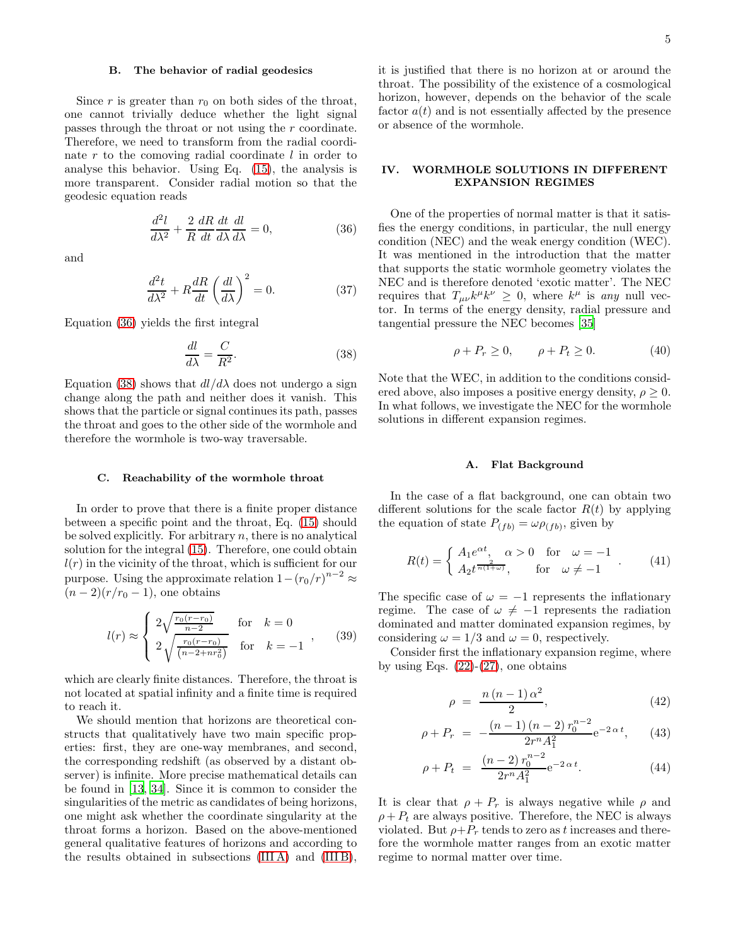## <span id="page-4-3"></span>B. The behavior of radial geodesics

Since  $r$  is greater than  $r_0$  on both sides of the throat, one cannot trivially deduce whether the light signal passes through the throat or not using the r coordinate. Therefore, we need to transform from the radial coordinate  $r$  to the comoving radial coordinate  $l$  in order to analyse this behavior. Using Eq. [\(15\)](#page-2-7), the analysis is more transparent. Consider radial motion so that the geodesic equation reads

<span id="page-4-1"></span>
$$
\frac{d^2l}{d\lambda^2} + \frac{2}{R}\frac{dR}{dt}\frac{dt}{d\lambda}\frac{dl}{d\lambda} = 0,
$$
\n(36)

and

$$
\frac{d^2t}{d\lambda^2} + R\frac{dR}{dt}\left(\frac{dl}{d\lambda}\right)^2 = 0.
$$
 (37)

Equation [\(36\)](#page-4-1) yields the first integral

<span id="page-4-2"></span>
$$
\frac{dl}{d\lambda} = \frac{C}{R^2}.\tag{38}
$$

Equation [\(38\)](#page-4-2) shows that  $dl/d\lambda$  does not undergo a sign change along the path and neither does it vanish. This shows that the particle or signal continues its path, passes the throat and goes to the other side of the wormhole and therefore the wormhole is two-way traversable.

#### C. Reachability of the wormhole throat

In order to prove that there is a finite proper distance between a specific point and the throat, Eq. [\(15\)](#page-2-7) should be solved explicitly. For arbitrary  $n$ , there is no analytical solution for the integral [\(15\)](#page-2-7). Therefore, one could obtain  $l(r)$  in the vicinity of the throat, which is sufficient for our purpose. Using the approximate relation  $1-(r_0/r)^{n-2} \approx$  $(n-2)(r/r_0-1)$ , one obtains

$$
l(r) \approx \begin{cases} 2\sqrt{\frac{r_0(r-r_0)}{n-2}} & \text{for} \quad k = 0\\ 2\sqrt{\frac{r_0(r-r_0)}{(n-2+nr_0^2)}} & \text{for} \quad k = -1 \end{cases}, \quad (39)
$$

which are clearly finite distances. Therefore, the throat is not located at spatial infinity and a finite time is required to reach it.

We should mention that horizons are theoretical constructs that qualitatively have two main specific properties: first, they are one-way membranes, and second, the corresponding redshift (as observed by a distant observer) is infinite. More precise mathematical details can be found in [\[13,](#page-7-12) [34\]](#page-8-8). Since it is common to consider the singularities of the metric as candidates of being horizons, one might ask whether the coordinate singularity at the throat forms a horizon. Based on the above-mentioned general qualitative features of horizons and according to the results obtained in subsections [\(III A\)](#page-3-3) and [\(III B\)](#page-4-3), it is justified that there is no horizon at or around the throat. The possibility of the existence of a cosmological horizon, however, depends on the behavior of the scale factor  $a(t)$  and is not essentially affected by the presence or absence of the wormhole.

## <span id="page-4-0"></span>IV. WORMHOLE SOLUTIONS IN DIFFERENT EXPANSION REGIMES

One of the properties of normal matter is that it satisfies the energy conditions, in particular, the null energy condition (NEC) and the weak energy condition (WEC). It was mentioned in the introduction that the matter that supports the static wormhole geometry violates the NEC and is therefore denoted 'exotic matter'. The NEC requires that  $T_{\mu\nu}k^{\mu}k^{\nu} \geq 0$ , where  $k^{\mu}$  is any null vector. In terms of the energy density, radial pressure and tangential pressure the NEC becomes [\[35\]](#page-8-9)

$$
\rho + P_r \ge 0, \qquad \rho + P_t \ge 0. \tag{40}
$$

Note that the WEC, in addition to the conditions considered above, also imposes a positive energy density,  $\rho \geq 0$ . In what follows, we investigate the NEC for the wormhole solutions in different expansion regimes.

### A. Flat Background

In the case of a flat background, one can obtain two different solutions for the scale factor  $R(t)$  by applying the equation of state  $P_{(fb)} = \omega \rho_{(fb)}$ , given by

$$
R(t) = \begin{cases} A_1 e^{\alpha t}, & \alpha > 0 \quad \text{for} \quad \omega = -1 \\ A_2 t^{\frac{2}{n(1+\omega)}}, & \text{for} \quad \omega \neq -1 \end{cases} . \tag{41}
$$

The specific case of  $\omega = -1$  represents the inflationary regime. The case of  $\omega \neq -1$  represents the radiation dominated and matter dominated expansion regimes, by considering  $\omega = 1/3$  and  $\omega = 0$ , respectively.

Consider first the inflationary expansion regime, where by using Eqs.  $(22)-(27)$  $(22)-(27)$ , one obtains

$$
\rho = \frac{n(n-1)\alpha^2}{2},\tag{42}
$$

$$
\rho + P_r = -\frac{(n-1)(n-2)r_0^{n-2}}{2r^n A_1^2} e^{-2\alpha t}, \qquad (43)
$$

$$
\rho + P_t = \frac{(n-2) r_0^{n-2}}{2r^n A_1^2} e^{-2\alpha t}.
$$
\n(44)

It is clear that  $\rho + P_r$  is always negative while  $\rho$  and  $\rho + P_t$  are always positive. Therefore, the NEC is always violated. But  $\rho + P_r$  tends to zero as t increases and therefore the wormhole matter ranges from an exotic matter regime to normal matter over time.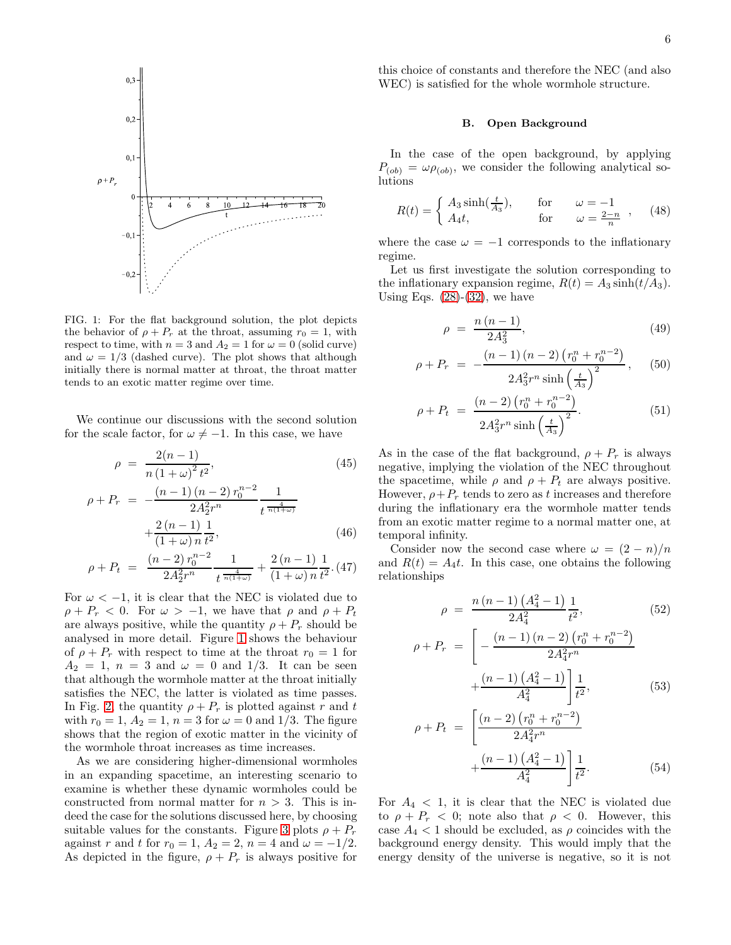

<span id="page-5-0"></span>FIG. 1: For the flat background solution, the plot depicts the behavior of  $\rho + P_r$  at the throat, assuming  $r_0 = 1$ , with respect to time, with  $n = 3$  and  $A_2 = 1$  for  $\omega = 0$  (solid curve) and  $\omega = 1/3$  (dashed curve). The plot shows that although initially there is normal matter at throat, the throat matter tends to an exotic matter regime over time.

We continue our discussions with the second solution for the scale factor, for  $\omega \neq -1$ . In this case, we have

$$
\rho = \frac{2(n-1)}{n(1+\omega)^2 t^2},
$$
\n
$$
\rho + P_r = -\frac{(n-1)(n-2) r_0^{n-2}}{2A_2^2 r^n} \frac{1}{t^{\frac{4}{n(1+\omega)}}}
$$
\n
$$
+\frac{2(n-1)}{(1+\omega)^2} \frac{1}{t^2},
$$
\n(46)

$$
\rho + P_t = \frac{(n-2) r_0^{n-2}}{2A_2^2 r^n} \frac{1}{t^{\frac{4}{n(1+\omega)}}} + \frac{2(n-1)}{(1+\omega) n} \frac{1}{t^2}.
$$
(47)

For  $\omega < -1$ , it is clear that the NEC is violated due to  $\rho + P_r < 0$ . For  $\omega > -1$ , we have that  $\rho$  and  $\rho + P_t$ are always positive, while the quantity  $\rho + P_r$  should be analysed in more detail. Figure [1](#page-5-0) shows the behaviour of  $\rho + P_r$  with respect to time at the throat  $r_0 = 1$  for  $A_2 = 1, n = 3$  and  $\omega = 0$  and 1/3. It can be seen that although the wormhole matter at the throat initially satisfies the NEC, the latter is violated as time passes. In Fig. [2,](#page-6-1) the quantity  $\rho + P_r$  is plotted against r and t with  $r_0 = 1, A_2 = 1, n = 3$  for  $\omega = 0$  and 1/3. The figure shows that the region of exotic matter in the vicinity of the wormhole throat increases as time increases.

As we are considering higher-dimensional wormholes in an expanding spacetime, an interesting scenario to examine is whether these dynamic wormholes could be constructed from normal matter for  $n > 3$ . This is indeed the case for the solutions discussed here, by choosing suitable values for the constants. Figure [3](#page-6-2) plots  $\rho + P_r$ against r and t for  $r_0 = 1$ ,  $A_2 = 2$ ,  $n = 4$  and  $\omega = -1/2$ . As depicted in the figure,  $\rho + P_r$  is always positive for

this choice of constants and therefore the NEC (and also WEC) is satisfied for the whole wormhole structure.

## B. Open Background

In the case of the open background, by applying  $P_{(ob)} = \omega \rho_{(ob)}$ , we consider the following analytical solutions

$$
R(t) = \begin{cases} A_3 \sinh(\frac{t}{A_3}), & \text{for} \qquad \omega = -1 \\ A_4 t, & \text{for} \qquad \omega = \frac{2-n}{n} \end{cases}, \quad (48)
$$

where the case  $\omega = -1$  corresponds to the inflationary regime.

Let us first investigate the solution corresponding to the inflationary expansion regime,  $R(t) = A_3 \sinh(t/A_3)$ . Using Eqs.  $(28)-(32)$  $(28)-(32)$ , we have

$$
\rho = \frac{n(n-1)}{2A_3^2},\tag{49}
$$

$$
\rho + P_r = -\frac{(n-1)(n-2)(r_0^n + r_0^{n-2})}{2A_3^2 r^n \sinh\left(\frac{t}{A_3}\right)^2}, \quad (50)
$$

$$
\rho + P_t = \frac{(n-2)\left(r_0^n + r_0^{n-2}\right)}{2A_3^2r^n \sinh\left(\frac{t}{A_3}\right)^2}.
$$
\n(51)

As in the case of the flat background,  $\rho + P_r$  is always negative, implying the violation of the NEC throughout the spacetime, while  $\rho$  and  $\rho + P_t$  are always positive. However,  $\rho + P_r$  tends to zero as t increases and therefore during the inflationary era the wormhole matter tends from an exotic matter regime to a normal matter one, at temporal infinity.

Consider now the second case where  $\omega = (2 - n)/n$ and  $R(t) = A_4 t$ . In this case, one obtains the following relationships

$$
\rho = \frac{n(n-1)\left(A_4^2 - 1\right)}{2A_4^2} \frac{1}{t^2},\tag{52}
$$

$$
\rho + P_r = \left[ -\frac{(n-1)(n-2)(r_0^n + r_0^{n-2})}{2A_4^2 r^n} + \frac{(n-1)(A_4^2 - 1)}{A_4^2} \right] \frac{1}{t^2},
$$
\n(53)

$$
\rho + P_t = \left[ \frac{(n-2) (r_0^n + r_0^{n-2})}{2A_4^2 r^n} + \frac{(n-1) (A_4^2 - 1)}{A_4^2} \right] \frac{1}{t^2}.
$$
\n(54)

For  $A_4 < 1$ , it is clear that the NEC is violated due to  $\rho + P_r < 0$ ; note also that  $\rho < 0$ . However, this case  $A_4 < 1$  should be excluded, as  $\rho$  coincides with the background energy density. This would imply that the energy density of the universe is negative, so it is not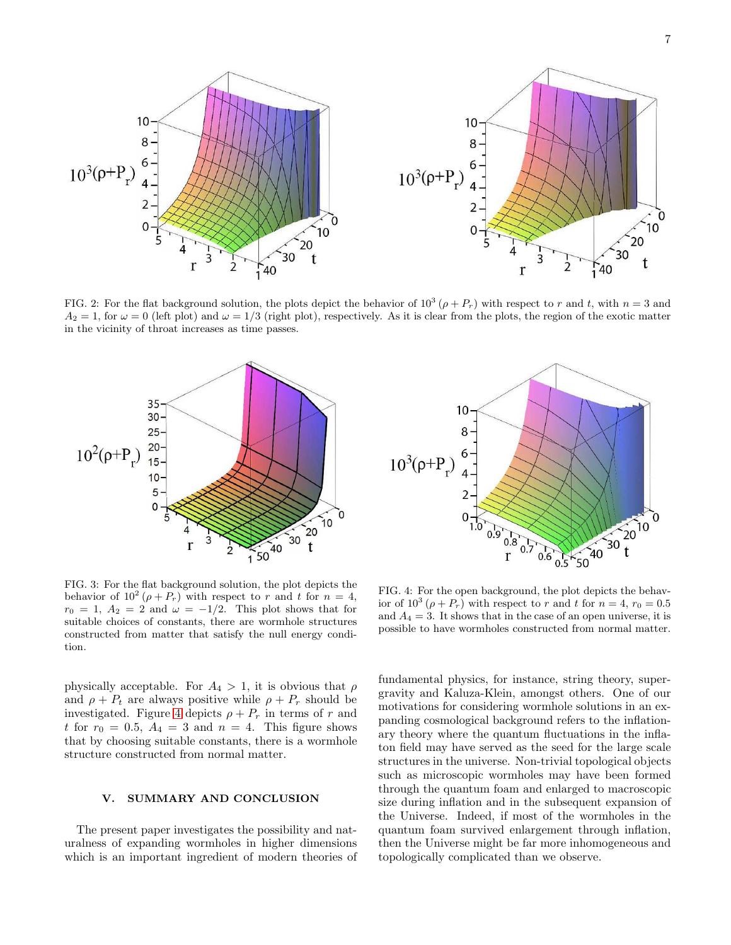

<span id="page-6-1"></span>FIG. 2: For the flat background solution, the plots depict the behavior of  $10^3$  ( $\rho + P_r$ ) with respect to r and t, with  $n = 3$  and  $A_2 = 1$ , for  $\omega = 0$  (left plot) and  $\omega = 1/3$  (right plot), respectively. As it is clear from the plots, the region of the exotic matter in the vicinity of throat increases as time passes.



<span id="page-6-2"></span>FIG. 3: For the flat background solution, the plot depicts the behavior of  $10^2$  ( $\rho + P_r$ ) with respect to r and t for  $n = 4$ ,  $r_0 = 1$ ,  $A_2 = 2$  and  $\omega = -1/2$ . This plot shows that for suitable choices of constants, there are wormhole structures constructed from matter that satisfy the null energy condition.

physically acceptable. For  $A_4 > 1$ , it is obvious that  $\rho$ and  $\rho + P_t$  are always positive while  $\rho + P_r$  should be investigated. Figure [4](#page-6-3) depicts  $\rho + P_r$  in terms of r and t for  $r_0 = 0.5$ ,  $A_4 = 3$  and  $n = 4$ . This figure shows that by choosing suitable constants, there is a wormhole structure constructed from normal matter.

## <span id="page-6-0"></span>V. SUMMARY AND CONCLUSION

The present paper investigates the possibility and naturalness of expanding wormholes in higher dimensions which is an important ingredient of modern theories of



<span id="page-6-3"></span>FIG. 4: For the open background, the plot depicts the behavior of  $10^3$  ( $\rho + P_r$ ) with respect to r and t for  $n = 4$ ,  $r_0 = 0.5$ and  $A_4 = 3$ . It shows that in the case of an open universe, it is possible to have wormholes constructed from normal matter.

fundamental physics, for instance, string theory, supergravity and Kaluza-Klein, amongst others. One of our motivations for considering wormhole solutions in an expanding cosmological background refers to the inflationary theory where the quantum fluctuations in the inflaton field may have served as the seed for the large scale structures in the universe. Non-trivial topological objects such as microscopic wormholes may have been formed through the quantum foam and enlarged to macroscopic size during inflation and in the subsequent expansion of the Universe. Indeed, if most of the wormholes in the quantum foam survived enlargement through inflation, then the Universe might be far more inhomogeneous and topologically complicated than we observe.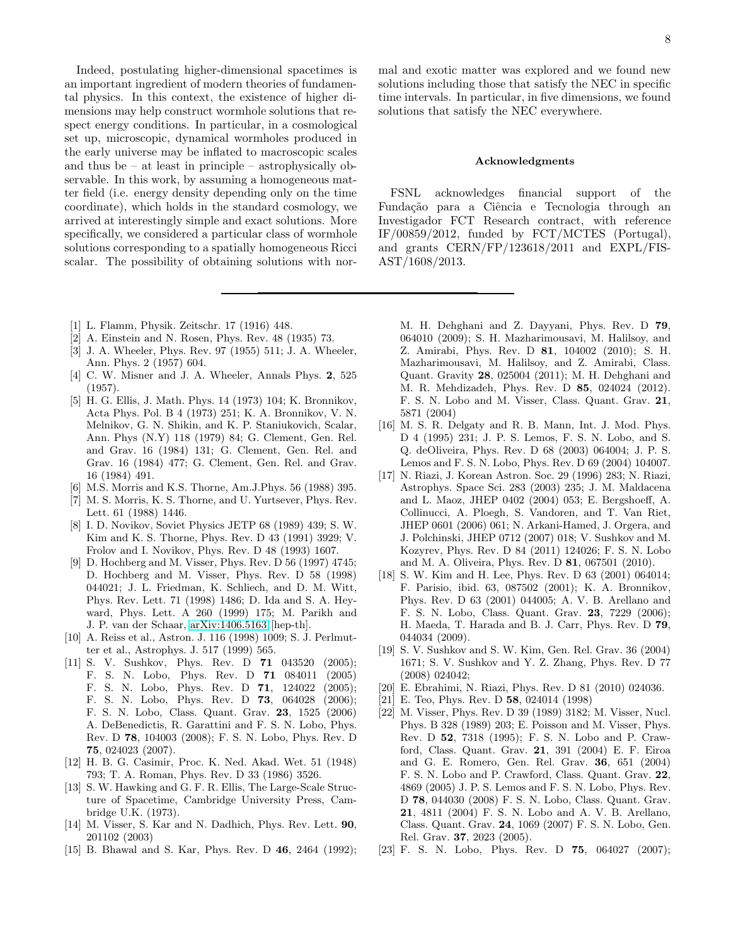Indeed, postulating higher-dimensional spacetimes is an important ingredient of modern theories of fundamental physics. In this context, the existence of higher dimensions may help construct wormhole solutions that respect energy conditions. In particular, in a cosmological set up, microscopic, dynamical wormholes produced in the early universe may be inflated to macroscopic scales and thus be – at least in principle – astrophysically observable. In this work, by assuming a homogeneous matter field (i.e. energy density depending only on the time coordinate), which holds in the standard cosmology, we arrived at interestingly simple and exact solutions. More specifically, we considered a particular class of wormhole solutions corresponding to a spatially homogeneous Ricci scalar. The possibility of obtaining solutions with nor-

- <span id="page-7-0"></span>[1] L. Flamm, Physik. Zeitschr. 17 (1916) 448.
- <span id="page-7-1"></span>[2] A. Einstein and N. Rosen, Phys. Rev. 48 (1935) 73.
- <span id="page-7-2"></span>[3] J. A. Wheeler, Phys. Rev. 97 (1955) 511; J. A. Wheeler, Ann. Phys. 2 (1957) 604.
- <span id="page-7-3"></span>[4] C. W. Misner and J. A. Wheeler, Annals Phys. 2, 525 (1957).
- <span id="page-7-4"></span>[5] H. G. Ellis, J. Math. Phys. 14 (1973) 104; K. Bronnikov, Acta Phys. Pol. B 4 (1973) 251; K. A. Bronnikov, V. N. Melnikov, G. N. Shikin, and K. P. Staniukovich, Scalar, Ann. Phys (N.Y) 118 (1979) 84; G. Clement, Gen. Rel. and Grav. 16 (1984) 131; G. Clement, Gen. Rel. and Grav. 16 (1984) 477; G. Clement, Gen. Rel. and Grav. 16 (1984) 491.
- <span id="page-7-5"></span>[6] M.S. Morris and K.S. Thorne, Am.J.Phys. 56 (1988) 395.
- <span id="page-7-6"></span>[7] M. S. Morris, K. S. Thorne, and U. Yurtsever, Phys. Rev. Lett. 61 (1988) 1446.
- <span id="page-7-7"></span>[8] I. D. Novikov, Soviet Physics JETP 68 (1989) 439; S. W. Kim and K. S. Thorne, Phys. Rev. D 43 (1991) 3929; V. Frolov and I. Novikov, Phys. Rev. D 48 (1993) 1607.
- <span id="page-7-8"></span>[9] D. Hochberg and M. Visser, Phys. Rev. D 56 (1997) 4745; D. Hochberg and M. Visser, Phys. Rev. D 58 (1998) 044021; J. L. Friedman, K. Schliech, and D. M. Witt, Phys. Rev. Lett. 71 (1998) 1486; D. Ida and S. A. Heyward, Phys. Lett. A 260 (1999) 175; M. Parikh and J. P. van der Schaar, [arXiv:1406.5163](http://arxiv.org/abs/1406.5163) [hep-th].
- <span id="page-7-9"></span>[10] A. Reiss et al., Astron. J. 116 (1998) 1009; S. J. Perlmutter et al., Astrophys. J. 517 (1999) 565.
- <span id="page-7-10"></span>[11] S. V. Sushkov, Phys. Rev. D **71** 043520 (2005); F. S. N. Lobo, Phys. Rev. D 71 084011 (2005) F. S. N. Lobo, Phys. Rev. D 71, 124022 (2005); F. S. N. Lobo, Phys. Rev. D 73, 064028 (2006); F. S. N. Lobo, Class. Quant. Grav. 23, 1525 (2006) A. DeBenedictis, R. Garattini and F. S. N. Lobo, Phys. Rev. D 78, 104003 (2008); F. S. N. Lobo, Phys. Rev. D 75, 024023 (2007).
- <span id="page-7-11"></span>[12] H. B. G. Casimir, Proc. K. Ned. Akad. Wet. 51 (1948) 793; T. A. Roman, Phys. Rev. D 33 (1986) 3526.
- <span id="page-7-12"></span>[13] S. W. Hawking and G. F. R. Ellis, The Large-Scale Structure of Spacetime, Cambridge University Press, Cambridge U.K. (1973).
- <span id="page-7-13"></span>[14] M. Visser, S. Kar and N. Dadhich, Phys. Rev. Lett. 90, 201102 (2003)
- <span id="page-7-14"></span>[15] B. Bhawal and S. Kar, Phys. Rev. D 46, 2464 (1992);

mal and exotic matter was explored and we found new solutions including those that satisfy the NEC in specific time intervals. In particular, in five dimensions, we found solutions that satisfy the NEC everywhere.

## Acknowledgments

FSNL acknowledges financial support of the Fundação para a Ciência e Tecnologia through an Investigador FCT Research contract, with reference IF/00859/2012, funded by FCT/MCTES (Portugal), and grants CERN/FP/123618/2011 and EXPL/FIS-AST/1608/2013.

M. H. Dehghani and Z. Dayyani, Phys. Rev. D 79, 064010 (2009); S. H. Mazharimousavi, M. Halilsoy, and Z. Amirabi, Phys. Rev. D 81, 104002 (2010); S. H. Mazharimousavi, M. Halilsoy, and Z. Amirabi, Class. Quant. Gravity 28, 025004 (2011); M. H. Dehghani and M. R. Mehdizadeh, Phys. Rev. D 85, 024024 (2012). F. S. N. Lobo and M. Visser, Class. Quant. Grav. 21, 5871 (2004)

- <span id="page-7-15"></span>[16] M. S. R. Delgaty and R. B. Mann, Int. J. Mod. Phys. D 4 (1995) 231; J. P. S. Lemos, F. S. N. Lobo, and S. Q. deOliveira, Phys. Rev. D 68 (2003) 064004; J. P. S. Lemos and F. S. N. Lobo, Phys. Rev. D 69 (2004) 104007.
- [17] N. Riazi, J. Korean Astron. Soc. 29 (1996) 283; N. Riazi, Astrophys. Space Sci. 283 (2003) 235; J. M. Maldacena and L. Maoz, JHEP 0402 (2004) 053; E. Bergshoeff, A. Collinucci, A. Ploegh, S. Vandoren, and T. Van Riet, JHEP 0601 (2006) 061; N. Arkani-Hamed, J. Orgera, and J. Polchinski, JHEP 0712 (2007) 018; V. Sushkov and M. Kozyrev, Phys. Rev. D 84 (2011) 124026; F. S. N. Lobo and M. A. Oliveira, Phys. Rev. D 81, 067501 (2010).
- [18] S. W. Kim and H. Lee, Phys. Rev. D 63 (2001) 064014; F. Parisio, ibid. 63, 087502 (2001); K. A. Bronnikov, Phys. Rev. D 63 (2001) 044005; A. V. B. Arellano and F. S. N. Lobo, Class. Quant. Grav. 23, 7229 (2006); H. Maeda, T. Harada and B. J. Carr, Phys. Rev. D 79, 044034 (2009).
- [19] S. V. Sushkov and S. W. Kim, Gen. Rel. Grav. 36 (2004) 1671; S. V. Sushkov and Y. Z. Zhang, Phys. Rev. D 77 (2008) 024042;
- <span id="page-7-16"></span>[20] E. Ebrahimi, N. Riazi, Phys. Rev. D 81 (2010) 024036.
- <span id="page-7-17"></span>[21] E. Teo, Phys. Rev. D **58**, 024014 (1998)
- <span id="page-7-18"></span>[22] M. Visser, Phys. Rev. D 39 (1989) 3182; M. Visser, Nucl. Phys. B 328 (1989) 203; E. Poisson and M. Visser, Phys. Rev. D 52, 7318 (1995); F. S. N. Lobo and P. Crawford, Class. Quant. Grav. 21, 391 (2004) E. F. Eiroa and G. E. Romero, Gen. Rel. Grav. 36, 651 (2004) F. S. N. Lobo and P. Crawford, Class. Quant. Grav. 22, 4869 (2005) J. P. S. Lemos and F. S. N. Lobo, Phys. Rev. D 78, 044030 (2008) F. S. N. Lobo, Class. Quant. Grav. 21, 4811 (2004) F. S. N. Lobo and A. V. B. Arellano, Class. Quant. Grav. 24, 1069 (2007) F. S. N. Lobo, Gen. Rel. Grav. 37, 2023 (2005).
- <span id="page-7-19"></span>[23] F. S. N. Lobo, Phys. Rev. D **75**, 064027 (2007);